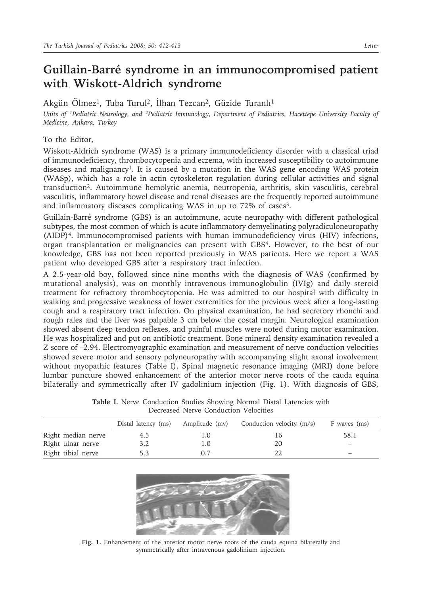## **Guillain-Barré syndrome in an immunocompromised patient with Wiskott-Aldrich syndrome**

Akgün Ölmez<sup>1</sup>, Tuba Turul<sup>2</sup>, İlhan Tezcan<sup>2</sup>, Güzide Turanlı<sup>1</sup>

*Units of 1Pediatric Neurology, and 2Pediatric Immunology, Department of Pediatrics, Hacettepe University Faculty of Medicine, Ankara, Turkey*

## To the Editor,

Wiskott-Aldrich syndrome (WAS) is a primary immunodeficiency disorder with a classical triad of immunodeficiency, thrombocytopenia and eczema, with increased susceptibility to autoimmune diseases and malignancy<sup>1</sup>. It is caused by a mutation in the WAS gene encoding WAS protein (WASp), which has a role in actin cytoskeleton regulation during cellular activities and signal transduction2. Autoimmune hemolytic anemia, neutropenia, arthritis, skin vasculitis, cerebral vasculitis, inflammatory bowel disease and renal diseases are the frequently reported autoimmune and inflammatory diseases complicating WAS in up to 72% of cases<sup>3</sup>.

Guillain-Barré syndrome (GBS) is an autoimmune, acute neuropathy with different pathological subtypes, the most common of which is acute inflammatory demyelinating polyradiculoneuropathy (AIDP)4. Immunocompromised patients with human immunodeficiency virus (HIV) infections, organ transplantation or malignancies can present with GBS4. However, to the best of our knowledge, GBS has not been reported previously in WAS patients. Here we report a WAS patient who developed GBS after a respiratory tract infection.

A 2.5-year-old boy, followed since nine months with the diagnosis of WAS (confirmed by mutational analysis), was on monthly intravenous immunoglobulin (IVIg) and daily steroid treatment for refractory thrombocytopenia. He was admitted to our hospital with difficulty in walking and progressive weakness of lower extremities for the previous week after a long-lasting cough and a respiratory tract infection. On physical examination, he had secretory rhonchi and rough rales and the liver was palpable 3 cm below the costal margin. Neurological examination showed absent deep tendon reflexes, and painful muscles were noted during motor examination. He was hospitalized and put on antibiotic treatment. Bone mineral density examination revealed a Z score of –2.94. Electromyographic examination and measurement of nerve conduction velocities showed severe motor and sensory polyneuropathy with accompanying slight axonal involvement without myopathic features (Table I). Spinal magnetic resonance imaging (MRI) done before lumbar puncture showed enhancement of the anterior motor nerve roots of the cauda equina bilaterally and symmetrically after IV gadolinium injection (Fig. 1). With diagnosis of GBS,

**Table I.** Nerve Conduction Studies Showing Normal Distal Latencies with Decreased Nerve Conduction Velocities

|                    | Distal latency (ms) |                          | Amplitude (mv) Conduction velocity $(m/s)$ | F waves (ms)             |
|--------------------|---------------------|--------------------------|--------------------------------------------|--------------------------|
| Right median nerve | 4.5                 | $\mathbf{L}(\mathbf{0})$ | I b                                        | 58.1                     |
| Right ulnar nerve  | 3.2                 | $\ldots$ ()              | 20                                         | $\overline{\phantom{0}}$ |
| Right tibial nerve | 5.3                 | 0.7                      |                                            |                          |



**Fig. 1.** Enhancement of the anterior motor nerve roots of the cauda equina bilaterally and symmetrically after intravenous gadolinium injection.